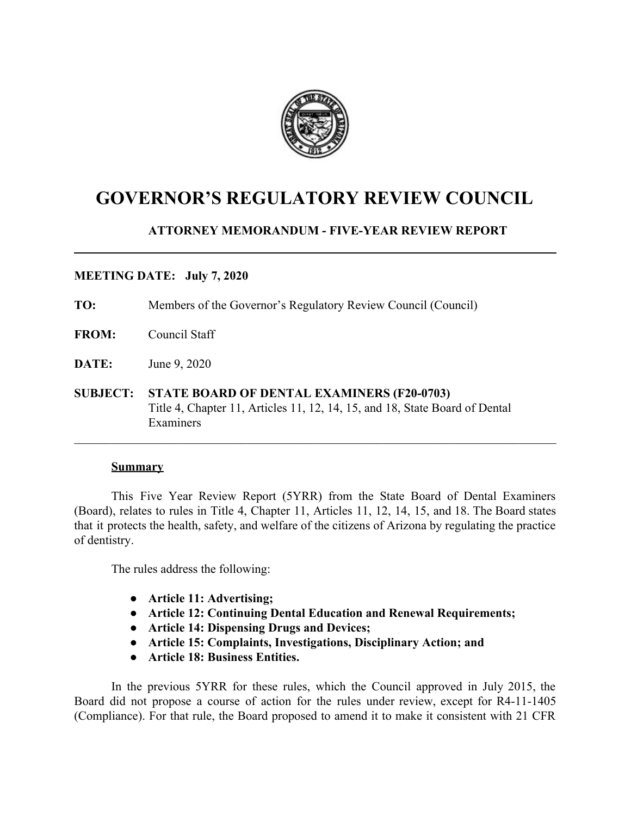

# **GOVERNOR'S REGULATORY REVIEW COUNCIL**

# **ATTORNEY MEMORANDUM - FIVE-YEAR REVIEW REPORT**

#### **MEETING DATE: July 7, 2020**

**TO:** Members of the Governor's Regulatory Review Council (Council)

- **FROM:** Council Staff
- **DATE:** June 9, 2020
- **SUBJECT: STATE BOARD OF DENTAL EXAMINERS (F20-0703)** Title 4, Chapter 11, Articles 11, 12, 14, 15, and 18, State Board of Dental Examiners

#### **Summary**

This Five Year Review Report (5YRR) from the State Board of Dental Examiners (Board), relates to rules in Title 4, Chapter 11, Articles 11, 12, 14, 15, and 18. The Board states that it protects the health, safety, and welfare of the citizens of Arizona by regulating the practice of dentistry.

 $\mathcal{L}_\mathcal{L} = \{ \mathcal{L}_\mathcal{L} = \{ \mathcal{L}_\mathcal{L} = \{ \mathcal{L}_\mathcal{L} = \{ \mathcal{L}_\mathcal{L} = \{ \mathcal{L}_\mathcal{L} = \{ \mathcal{L}_\mathcal{L} = \{ \mathcal{L}_\mathcal{L} = \{ \mathcal{L}_\mathcal{L} = \{ \mathcal{L}_\mathcal{L} = \{ \mathcal{L}_\mathcal{L} = \{ \mathcal{L}_\mathcal{L} = \{ \mathcal{L}_\mathcal{L} = \{ \mathcal{L}_\mathcal{L} = \{ \mathcal{L}_\mathcal{$ 

The rules address the following:

- **● Article 11: Advertising;**
- **● Article 12: Continuing Dental Education and Renewal Requirements;**
- **● Article 14: Dispensing Drugs and Devices;**
- **● Article 15: Complaints, Investigations, Disciplinary Action; and**
- **● Article 18: Business Entities.**

In the previous 5YRR for these rules, which the Council approved in July 2015, the Board did not propose a course of action for the rules under review, except for R4-11-1405 (Compliance). For that rule, the Board proposed to amend it to make it consistent with 21 CFR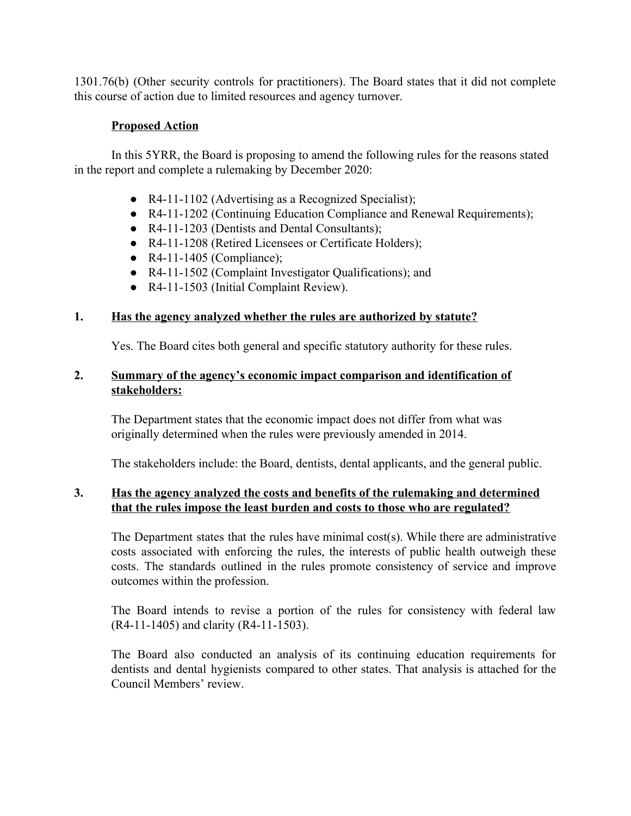1301.76(b) (Other security controls for practitioners). The Board states that it did not complete this course of action due to limited resources and agency turnover.

# **Proposed Action**

In this 5YRR, the Board is proposing to amend the following rules for the reasons stated in the report and complete a rulemaking by December 2020:

- R4-11-1102 (Advertising as a Recognized Specialist);
- R4-11-1202 (Continuing Education Compliance and Renewal Requirements);
- R4-11-1203 (Dentists and Dental Consultants);
- R4-11-1208 (Retired Licensees or Certificate Holders);
- $\bullet$  R4-11-1405 (Compliance);
- R4-11-1502 (Complaint Investigator Qualifications); and
- R4-11-1503 (Initial Complaint Review).

# **1. Has the agency analyzed whether the rules are authorized by statute?**

Yes. The Board cites both general and specific statutory authority for these rules.

### **2. Summary of the agency's economic impact comparison and identification of stakeholders:**

The Department states that the economic impact does not differ from what was originally determined when the rules were previously amended in 2014.

The stakeholders include: the Board, dentists, dental applicants, and the general public.

#### **3. Has the agency analyzed the costs and benefits of the rulemaking and determined that the rules impose the least burden and costs to those who are regulated?**

The Department states that the rules have minimal cost(s). While there are administrative costs associated with enforcing the rules, the interests of public health outweigh these costs. The standards outlined in the rules promote consistency of service and improve outcomes within the profession.

The Board intends to revise a portion of the rules for consistency with federal law (R4-11-1405) and clarity (R4-11-1503).

The Board also conducted an analysis of its continuing education requirements for dentists and dental hygienists compared to other states. That analysis is attached for the Council Members' review.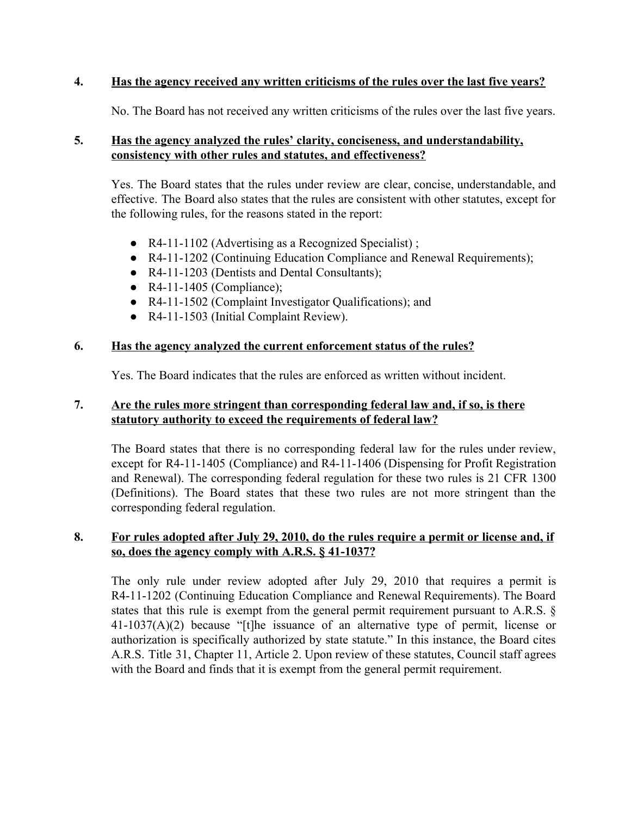#### **4. Has the agency received any written criticisms of the rules over the last five years?**

No. The Board has not received any written criticisms of the rules over the last five years.

#### **5. Has the agency analyzed the rules' clarity, conciseness, and understandability, consistency with other rules and statutes, and effectiveness?**

Yes. The Board states that the rules under review are clear, concise, understandable, and effective. The Board also states that the rules are consistent with other statutes, except for the following rules, for the reasons stated in the report:

- R4-11-1102 (Advertising as a Recognized Specialist) ;
- R4-11-1202 (Continuing Education Compliance and Renewal Requirements);
- R4-11-1203 (Dentists and Dental Consultants);
- $\bullet$  R4-11-1405 (Compliance);
- R4-11-1502 (Complaint Investigator Qualifications); and
- R4-11-1503 (Initial Complaint Review).

#### **6. Has the agency analyzed the current enforcement status of the rules?**

Yes. The Board indicates that the rules are enforced as written without incident.

#### **7. Are the rules more stringent than corresponding federal law and, if so, is there statutory authority to exceed the requirements of federal law?**

The Board states that there is no corresponding federal law for the rules under review, except for R4-11-1405 (Compliance) and R4-11-1406 (Dispensing for Profit Registration and Renewal). The corresponding federal regulation for these two rules is 21 CFR 1300 (Definitions). The Board states that these two rules are not more stringent than the corresponding federal regulation.

#### **8. For rules adopted after July 29, 2010, do the rules require a permit or license and, if so, does the agency comply with A.R.S. § 41-1037?**

The only rule under review adopted after July 29, 2010 that requires a permit is R4-11-1202 (Continuing Education Compliance and Renewal Requirements). The Board states that this rule is exempt from the general permit requirement pursuant to A.R.S. § 41-1037(A)(2) because "[t]he issuance of an alternative type of permit, license or authorization is specifically authorized by state statute." In this instance, the Board cites A.R.S. Title 31, Chapter 11, Article 2. Upon review of these statutes, Council staff agrees with the Board and finds that it is exempt from the general permit requirement.